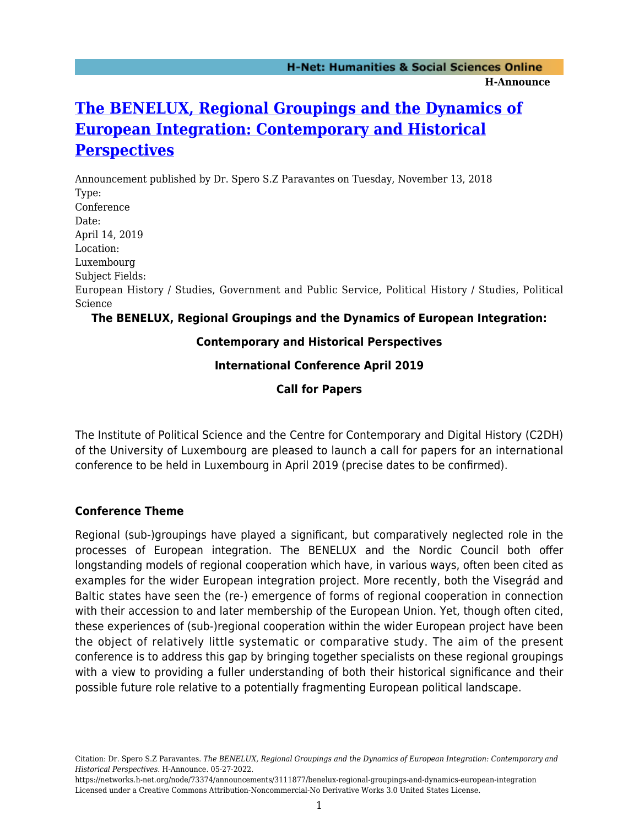# **[The BENELUX, Regional Groupings and the Dynamics of](https://networks.h-net.org/node/73374/announcements/3111877/benelux-regional-groupings-and-dynamics-european-integration) [European Integration: Contemporary and Historical](https://networks.h-net.org/node/73374/announcements/3111877/benelux-regional-groupings-and-dynamics-european-integration) [Perspectives](https://networks.h-net.org/node/73374/announcements/3111877/benelux-regional-groupings-and-dynamics-european-integration)**

Announcement published by Dr. Spero S.Z Paravantes on Tuesday, November 13, 2018 Type: Conference Date: April 14, 2019 Location: Luxembourg Subject Fields: European History / Studies, Government and Public Service, Political History / Studies, Political Science

# **The BENELUX, Regional Groupings and the Dynamics of European Integration:**

#### **Contemporary and Historical Perspectives**

## **International Conference April 2019**

## **Call for Papers**

The Institute of Political Science and the Centre for Contemporary and Digital History (C2DH) of the University of Luxembourg are pleased to launch a call for papers for an international conference to be held in Luxembourg in April 2019 (precise dates to be confirmed).

#### **Conference Theme**

Regional (sub-)groupings have played a significant, but comparatively neglected role in the processes of European integration. The BENELUX and the Nordic Council both offer longstanding models of regional cooperation which have, in various ways, often been cited as examples for the wider European integration project. More recently, both the Visegrád and Baltic states have seen the (re-) emergence of forms of regional cooperation in connection with their accession to and later membership of the European Union. Yet, though often cited, these experiences of (sub-)regional cooperation within the wider European project have been the object of relatively little systematic or comparative study. The aim of the present conference is to address this gap by bringing together specialists on these regional groupings with a view to providing a fuller understanding of both their historical significance and their possible future role relative to a potentially fragmenting European political landscape.